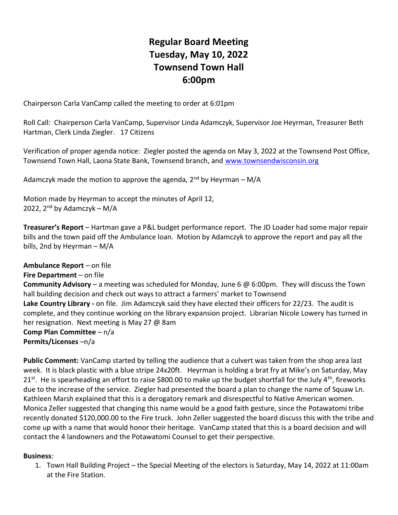## Regular Board Meeting Tuesday, May 10, 2022 Townsend Town Hall 6:00pm

Chairperson Carla VanCamp called the meeting to order at 6:01pm

Roll Call: Chairperson Carla VanCamp, Supervisor Linda Adamczyk, Supervisor Joe Heyrman, Treasurer Beth Hartman, Clerk Linda Ziegler. 17 Citizens

Verification of proper agenda notice: Ziegler posted the agenda on May 3, 2022 at the Townsend Post Office, Townsend Town Hall, Laona State Bank, Townsend branch, and www.townsendwisconsin.org

Adamczyk made the motion to approve the agenda,  $2^{nd}$  by Heyrman – M/A

Motion made by Heyrman to accept the minutes of April 12, 2022,  $2<sup>nd</sup>$  by Adamczyk – M/A

Treasurer's Report – Hartman gave a P&L budget performance report. The JD Loader had some major repair bills and the town paid off the Ambulance loan. Motion by Adamczyk to approve the report and pay all the bills, 2nd by Heyrman – M/A

Ambulance Report – on file Fire Department – on file **Community Advisory** – a meeting was scheduled for Monday, June 6  $\omega$  6:00pm. They will discuss the Town hall building decision and check out ways to attract a farmers' market to Townsend Lake Country Library - on file. Jim Adamczyk said they have elected their officers for 22/23. The audit is complete, and they continue working on the library expansion project. Librarian Nicole Lowery has turned in her resignation. Next meeting is May 27 @ 8am Comp Plan Committee – n/a Permits/Licenses –n/a

Public Comment: VanCamp started by telling the audience that a culvert was taken from the shop area last week. It is black plastic with a blue stripe 24x20ft. Heyrman is holding a brat fry at Mike's on Saturday, May 21<sup>st</sup>. He is spearheading an effort to raise \$800.00 to make up the budget shortfall for the July 4<sup>th</sup>, fireworks due to the increase of the service. Ziegler had presented the board a plan to change the name of Squaw Ln. Kathleen Marsh explained that this is a derogatory remark and disrespectful to Native American women. Monica Zeller suggested that changing this name would be a good faith gesture, since the Potawatomi tribe recently donated \$120,000.00 to the Fire truck. John Zeller suggested the board discuss this with the tribe and come up with a name that would honor their heritage. VanCamp stated that this is a board decision and will contact the 4 landowners and the Potawatomi Counsel to get their perspective.

## Business:

1. Town Hall Building Project – the Special Meeting of the electors is Saturday, May 14, 2022 at 11:00am at the Fire Station.